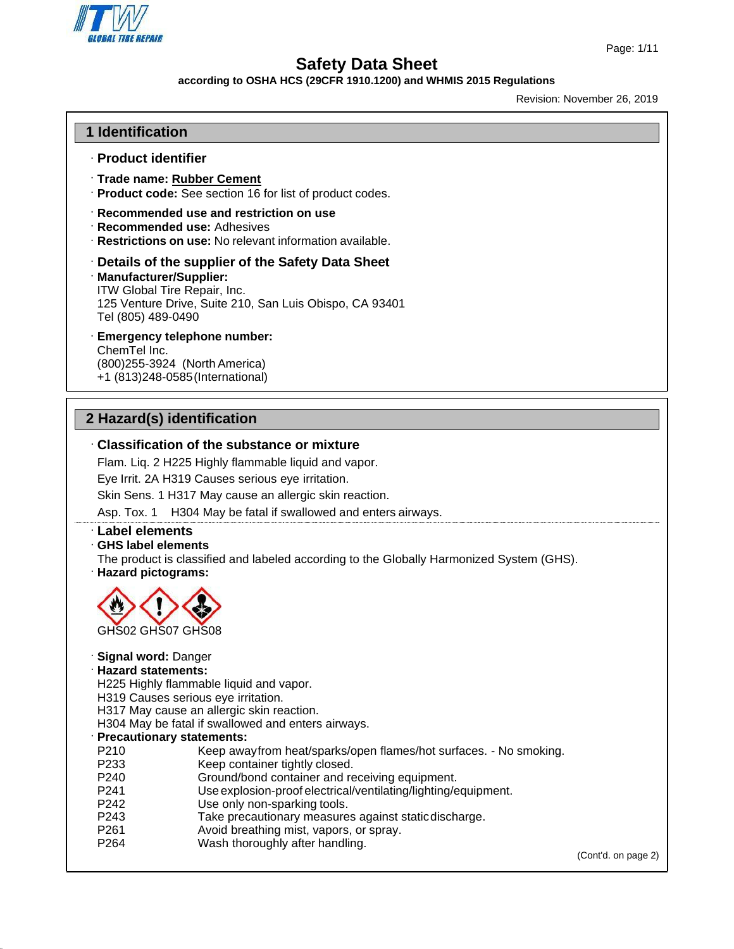

#### **according to OSHA HCS (29CFR 1910.1200) and WHMIS 2015 Regulations**

Revision: November 26, 2019

## **1 Identification**

#### · **Product identifier**

- · **Trade name: Rubber Cement**
- · **Product code:** See section 16 for list of product codes.
- · **Recommended use and restriction on use**
- · **Recommended use:** Adhesives
- · **Restrictions on use:** No relevant information available.
- · **Details of the supplier of the Safety Data Sheet**
- · **Manufacturer/Supplier:**

ITW Global Tire Repair, Inc. 125 Venture Drive, Suite 210, San Luis Obispo, CA 93401 Tel (805) 489-0490

· **Emergency telephone number:** ChemTel Inc. (800)255-3924 (North America) +1 (813)248-0585(International)

# **2 Hazard(s) identification**

# · **Classification of the substance or mixture**

Flam. Liq. 2 H225 Highly flammable liquid and vapor.

Eye Irrit. 2A H319 Causes serious eye irritation.

Skin Sens. 1 H317 May cause an allergic skin reaction.

Asp. Tox. 1 H304 May be fatal if swallowed and enters airways.

#### · **Label elements**

- · **GHS label elements**
- The product is classified and labeled according to the Globally Harmonized System (GHS). · **Hazard pictograms:**



- · **Signal word:** Danger
- · **Hazard statements:**

H225 Highly flammable liquid and vapor.

- H319 Causes serious eye irritation.
- H317 May cause an allergic skin reaction.

H304 May be fatal if swallowed and enters airways.

- · **Precautionary statements:**
- P210 Keep awayfrom heat/sparks/open flames/hot surfaces. No smoking.<br>P233 Keep container tightly closed.
- P233 Keep container tightly closed.<br>P240 Ground/bond container and re
- Ground/bond container and receiving equipment.
- P241 Use explosion-proof electrical/ventilating/lighting/equipment.
- P242 Use only non-sparking tools.
- P243 Take precautionary measures against static discharge.<br>P261 P261 Avoid breathing mist, vapors, or spray.
- Avoid breathing mist, vapors, or spray.
- P264 Wash thoroughly after handling.

(Cont'd. on page 2)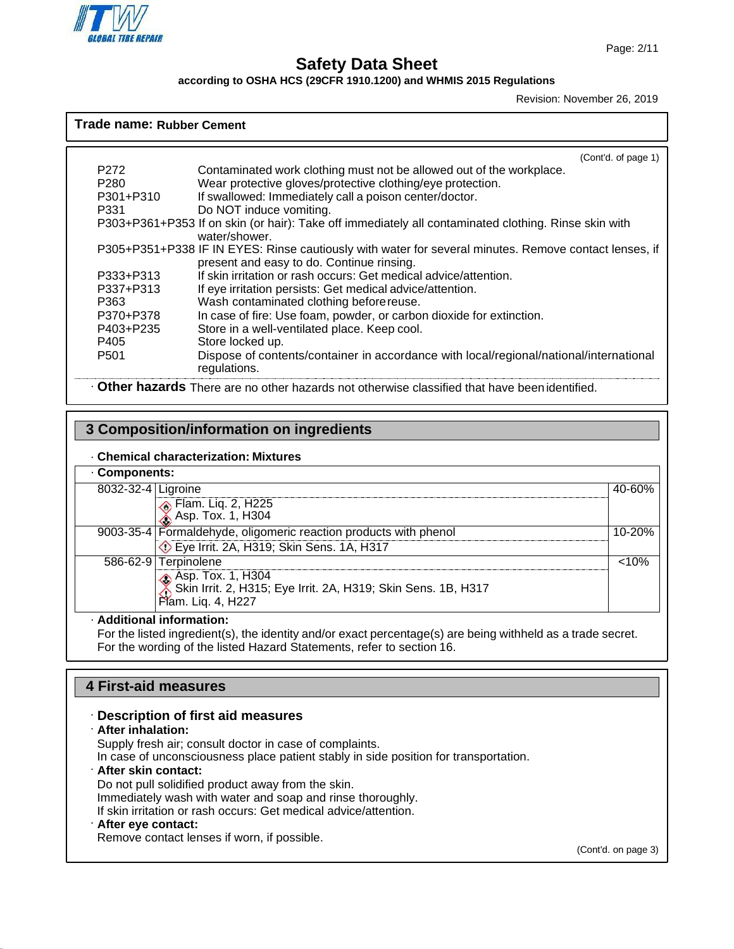

**Trade name: Rubber Cement**

# **Safety Data Sheet**

**according to OSHA HCS (29CFR 1910.1200) and WHMIS 2015 Regulations**

Revision: November 26, 2019

## (Cont'd. of page 1) P272 Contaminated work clothing must not be allowed out of the workplace. P280 Wear protective gloves/protective clothing/eye protection.<br>P301+P310 If swallowed: Immediately call a poison center/doctor. If swallowed: Immediately call a poison center/doctor. P331 Do NOT induce vomiting. P303+P361+P353 If on skin (or hair): Take off immediately all contaminated clothing. Rinse skin with water/shower. P305+P351+P338 IF IN EYES: Rinse cautiously with water for several minutes. Remove contact lenses, if present and easy to do. Continue rinsing. P333+P313 If skin irritation or rash occurs: Get medical advice/attention.<br>P337+P313 If eve irritation persists: Get medical advice/attention. If eye irritation persists: Get medical advice/attention. P363 Wash contaminated clothing beforereuse. P370+P378 In case of fire: Use foam, powder, or carbon dioxide for extinction. P403+P235 Store in a well-ventilated place. Keep cool. P405 Store locked up. P501 Dispose of contents/container in accordance with local/regional/national/international regulations.

· **Other hazards** There are no other hazards not otherwise classified that have been identified.

# **3 Composition/information on ingredients**

#### · **Chemical characterization: Mixtures**

## · **Components:**

| 8032-32-4 Ligroine |                                                                                                            | 40-60%     |
|--------------------|------------------------------------------------------------------------------------------------------------|------------|
|                    | Flam. Liq. 2, H225<br>Asp. Tox. 1, H304                                                                    |            |
|                    | 9003-35-4   Formaldehyde, oligomeric reaction products with phenol                                         | $10 - 20%$ |
|                    | Eye Irrit. 2A, H319; Skin Sens. 1A, H317                                                                   |            |
|                    | 586-62-9 Terpinolene                                                                                       | $< 10\%$   |
|                    | Asp. Tox. 1, H304<br>Skin Irrit. 2, H315; Eye Irrit. 2A, H319; Skin Sens. 1B, H317<br>  Flam. Liq. 4, H227 |            |

#### · **Additional information:**

For the listed ingredient(s), the identity and/or exact percentage(s) are being withheld as a trade secret. For the wording of the listed Hazard Statements, refer to section 16.

# **4 First-aid measures**

## · **Description of first aid measures**

#### · **After inhalation:**

Supply fresh air; consult doctor in case of complaints.

In case of unconsciousness place patient stably in side position for transportation.

# · **After skin contact:**

Do not pull solidified product away from the skin. Immediately wash with water and soap and rinse thoroughly. If skin irritation or rash occurs: Get medical advice/attention.

# · **After eye contact:**

Remove contact lenses if worn, if possible.

(Cont'd. on page 3)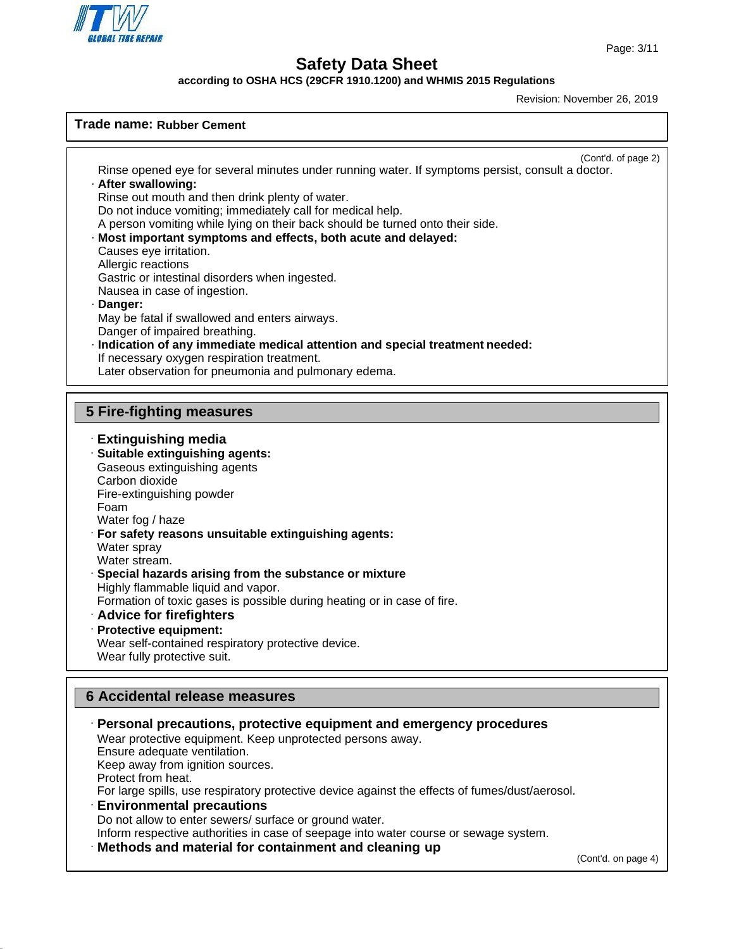

**according to OSHA HCS (29CFR 1910.1200) and WHMIS 2015 Regulations**

Revision: November 26, 2019

## **Trade name: Rubber Cement**

· **Extinguishing media** · **Suitable extinguishing agents:** Gaseous extinguishing agents Carbon dioxide Fire-extinguishing powder Foam Water fog / haze · **For safety reasons unsuitable extinguishing agents:** Water spray Water stream. · **Special hazards arising from the substance or mixture** Highly flammable liquid and vapor. Formation of toxic gases is possible during heating or in case of fire. · **Advice for firefighters** · **Protective equipment:** Wear self-contained respiratory protective device. Wear fully protective suit. **5 Fire-fighting measures 6 Accidental release measures** (Cont'd. of page 2) Rinse opened eye for several minutes under running water. If symptoms persist, consult a doctor. · **After swallowing:** Rinse out mouth and then drink plenty of water. Do not induce vomiting; immediately call for medical help. A person vomiting while lying on their back should be turned onto their side. · **Most important symptoms and effects, both acute and delayed:** Causes eye irritation. Allergic reactions Gastric or intestinal disorders when ingested. Nausea in case of ingestion. · **Danger:** May be fatal if swallowed and enters airways. Danger of impaired breathing. · **Indication of any immediate medical attention and special treatment needed:** If necessary oxygen respiration treatment. Later observation for pneumonia and pulmonary edema.

(Cont'd. on page 4) · **Personal precautions, protective equipment and emergency procedures** Wear protective equipment. Keep unprotected persons away. Ensure adequate ventilation. Keep away from ignition sources. Protect from heat. For large spills, use respiratory protective device against the effects of fumes/dust/aerosol. · **Environmental precautions** Do not allow to enter sewers/ surface or ground water. Inform respective authorities in case of seepage into water course or sewage system. · **Methods and material for containment and cleaning up**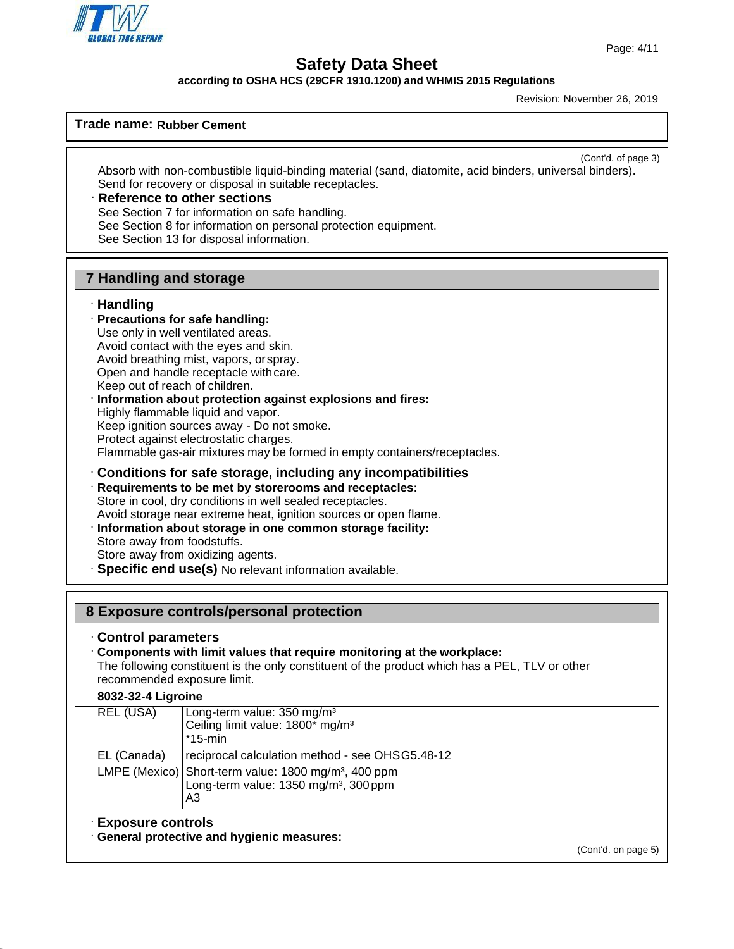

**according to OSHA HCS (29CFR 1910.1200) and WHMIS 2015 Regulations**

Revision: November 26, 2019

## **Trade name: Rubber Cement**

(Cont'd. of page 3)

Absorb with non-combustible liquid-binding material (sand, diatomite, acid binders, universal binders). Send for recovery or disposal in suitable receptacles.

# · **Reference to other sections**

See Section 7 for information on safe handling.

See Section 8 for information on personal protection equipment.

See Section 13 for disposal information.

# **7 Handling and storage**

#### · **Handling**

· **Precautions for safe handling:** Use only in well ventilated areas. Avoid contact with the eyes and skin. Avoid breathing mist, vapors, orspray. Open and handle receptacle withcare. Keep out of reach of children. · **Information about protection against explosions and fires:** Highly flammable liquid and vapor.

Keep ignition sources away - Do not smoke.

Protect against electrostatic charges.

Flammable gas-air mixtures may be formed in empty containers/receptacles.

## · **Conditions for safe storage, including any incompatibilities**

· **Requirements to be met by storerooms and receptacles:** Store in cool, dry conditions in well sealed receptacles. Avoid storage near extreme heat, ignition sources or open flame. · **Information about storage in one common storage facility:** Store away from foodstuffs.

Store away from oxidizing agents.

· **Specific end use(s)** No relevant information available.

## **8 Exposure controls/personal protection**

#### · **Control parameters**

· **Components with limit values that require monitoring at the workplace:**

The following constituent is the only constituent of the product which has a PEL, TLV or other recommended exposure limit.

#### **8032-32-4 Ligroine**

| Long-term value: $350 \text{ mg/m}^3$                            |
|------------------------------------------------------------------|
| Ceiling limit value: 1800* mg/m <sup>3</sup>                     |
| $*15$ -min                                                       |
| reciprocal calculation method - see OHSG5.48-12                  |
| LMPE (Mexico) Short-term value: 1800 mg/m <sup>3</sup> , 400 ppm |
| Long-term value: 1350 mg/m <sup>3</sup> , 300 ppm                |
| A3                                                               |
| REL (USA)<br>EL (Canada)                                         |

## · **Exposure controls**

· **General protective and hygienic measures:**

(Cont'd. on page 5)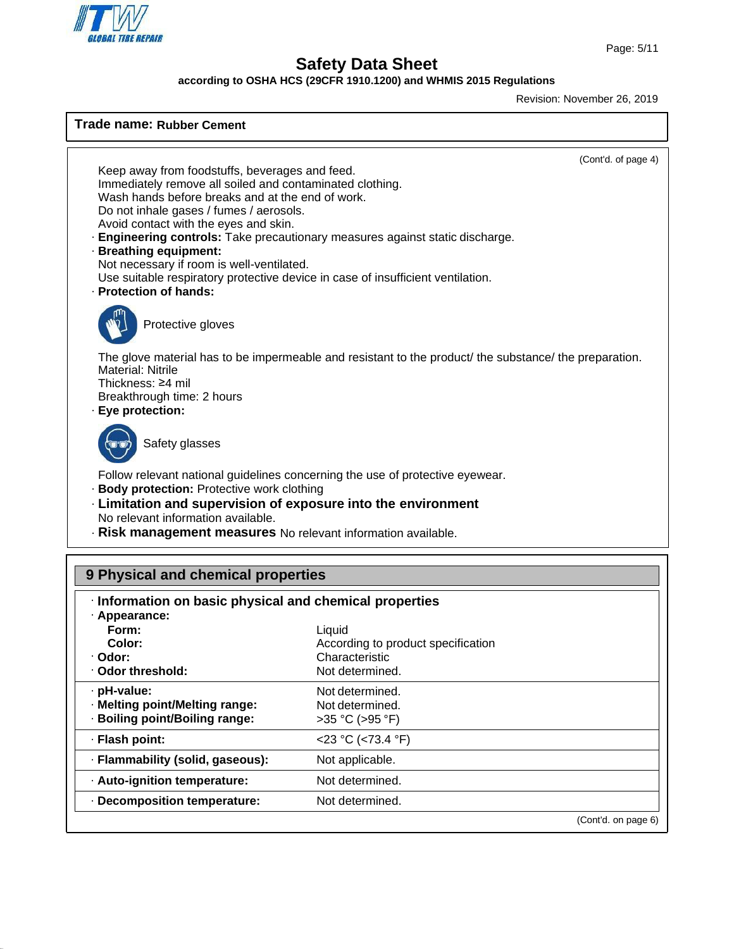

**Trade name: Rubber Cement**

# **Safety Data Sheet**

**according to OSHA HCS (29CFR 1910.1200) and WHMIS 2015 Regulations**

Revision: November 26, 2019

# (Cont'd. of page 4) (Cont'd. on page 6) **9 Physical and chemical properties** · **Information on basic physical and chemical properties** · **Appearance: Form:** Liquid **Color:** According to product specification · **Odor:** Characteristic · **Odor threshold:** Not determined. · **pH-value:** · **Melting point/Melting range:** · **Boiling point/Boiling range:** Not determined. Not determined. >35 °C (>95 °F) · **Flash point:** <23 °C (<73.4 °F) · **Flammability (solid, gaseous):** Not applicable. · **Auto-ignition temperature:** Not determined. · **Decomposition temperature:** Not determined. Keep away from foodstuffs, beverages and feed. Immediately remove all soiled and contaminated clothing. Wash hands before breaks and at the end of work. Do not inhale gases / fumes / aerosols. Avoid contact with the eyes and skin. · **Engineering controls:** Take precautionary measures against static discharge. · **Breathing equipment:** Not necessary if room is well-ventilated. Use suitable respiratory protective device in case of insufficient ventilation. · **Protection of hands:** Protective gloves The glove material has to be impermeable and resistant to the product/ the substance/ the preparation. Material: Nitrile Thickness: ≥4 mil Breakthrough time: 2 hours · **Eye protection:** Safety glasses Follow relevant national guidelines concerning the use of protective eyewear. · **Body protection:** Protective work clothing · **Limitation and supervision of exposure into the environment** No relevant information available. · **Risk management measures** No relevant information available.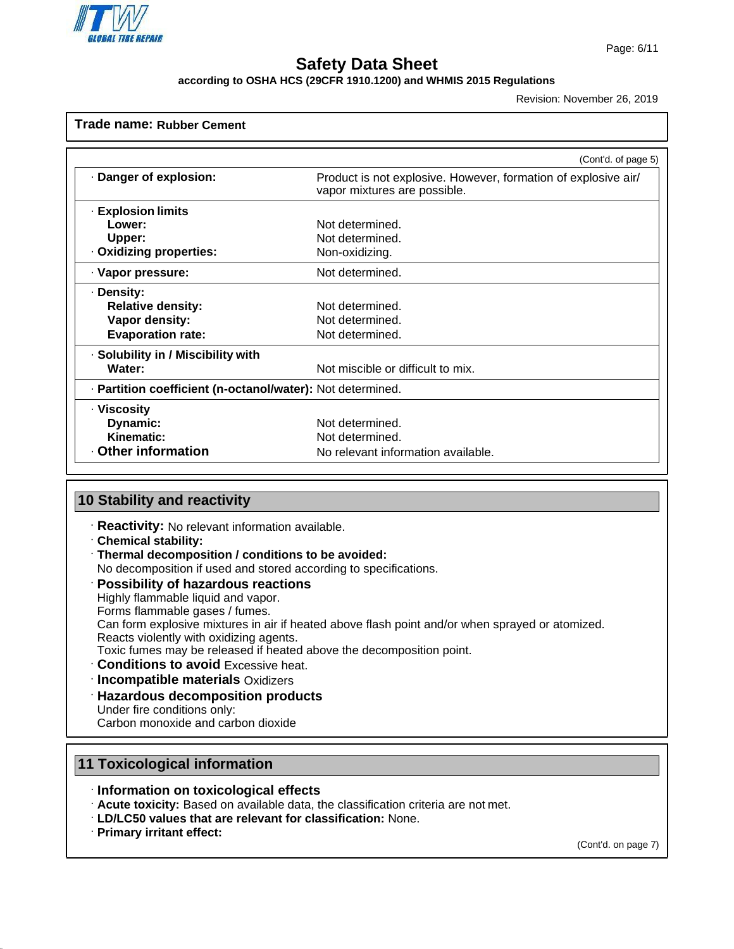

#### **according to OSHA HCS (29CFR 1910.1200) and WHMIS 2015 Regulations**

Revision: November 26, 2019

#### **Trade name: Rubber Cement**

|                                                            | (Cont'd. of page 5)                                                                            |  |  |  |
|------------------------------------------------------------|------------------------------------------------------------------------------------------------|--|--|--|
| Danger of explosion:                                       | Product is not explosive. However, formation of explosive air/<br>vapor mixtures are possible. |  |  |  |
| <b>Explosion limits</b>                                    |                                                                                                |  |  |  |
| Lower:                                                     | Not determined.                                                                                |  |  |  |
| Upper:                                                     | Not determined.                                                                                |  |  |  |
| · Oxidizing properties:                                    | Non-oxidizing.                                                                                 |  |  |  |
| · Vapor pressure:                                          | Not determined.                                                                                |  |  |  |
| · Density:                                                 |                                                                                                |  |  |  |
| <b>Relative density:</b>                                   | Not determined.                                                                                |  |  |  |
| Vapor density:                                             | Not determined.                                                                                |  |  |  |
| <b>Evaporation rate:</b>                                   | Not determined.                                                                                |  |  |  |
| · Solubility in / Miscibility with                         |                                                                                                |  |  |  |
| Water:                                                     | Not miscible or difficult to mix.                                                              |  |  |  |
| · Partition coefficient (n-octanol/water): Not determined. |                                                                                                |  |  |  |
| · Viscosity                                                |                                                                                                |  |  |  |
| Dynamic:                                                   | Not determined.                                                                                |  |  |  |
| Kinematic:                                                 | Not determined.                                                                                |  |  |  |
| Other information                                          | No relevant information available.                                                             |  |  |  |

## **10 Stability and reactivity**

- · **Reactivity:** No relevant information available.
- · **Chemical stability:**
- · **Thermal decomposition / conditions to be avoided:**
- No decomposition if used and stored according to specifications.

#### · **Possibility of hazardous reactions**

Highly flammable liquid and vapor.

Forms flammable gases / fumes.

Can form explosive mixtures in air if heated above flash point and/or when sprayed or atomized. Reacts violently with oxidizing agents.

- Toxic fumes may be released if heated above the decomposition point.
- · **Conditions to avoid** Excessive heat.
- · **Incompatible materials** Oxidizers
- · **Hazardous decomposition products** Under fire conditions only: Carbon monoxide and carbon dioxide

# **11 Toxicological information**

- · **Information on toxicological effects**
- · **Acute toxicity:** Based on available data, the classification criteria are not met.
- · **LD/LC50 values that are relevant for classification:** None.
- · **Primary irritant effect:**

(Cont'd. on page 7)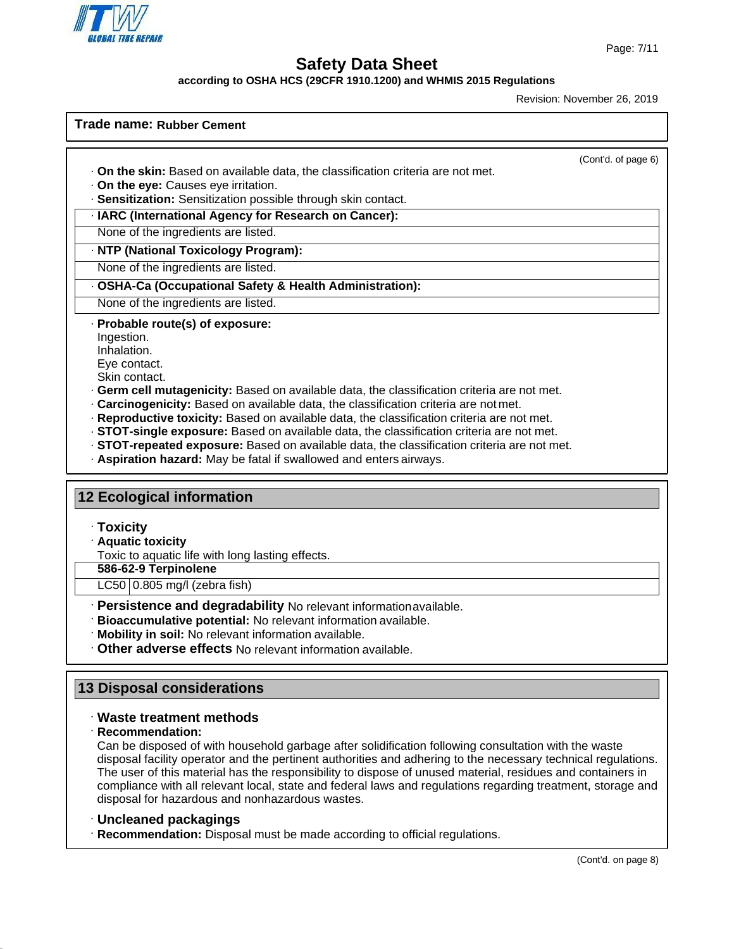

(Cont'd. of page 6)

# **Safety Data Sheet**

**according to OSHA HCS (29CFR 1910.1200) and WHMIS 2015 Regulations**

Revision: November 26, 2019

#### **Trade name: Rubber Cement**

- · **On the skin:** Based on available data, the classification criteria are not met.
- · **On the eye:** Causes eye irritation.
- · **Sensitization:** Sensitization possible through skin contact.
- · **IARC (International Agency for Research on Cancer):**

None of the ingredients are listed.

#### · **NTP (National Toxicology Program):**

None of the ingredients are listed.

- · **OSHA-Ca (Occupational Safety & Health Administration):**
- None of the ingredients are listed.
- · **Probable route(s) of exposure:**
- Ingestion.
- Inhalation.
- Eye contact. Skin contact.
- · **Germ cell mutagenicity:** Based on available data, the classification criteria are not met.
- · **Carcinogenicity:** Based on available data, the classification criteria are not met.
- · **Reproductive toxicity:** Based on available data, the classification criteria are not met.
- · **STOT-single exposure:** Based on available data, the classification criteria are not met.
- · **STOT-repeated exposure:** Based on available data, the classification criteria are not met.
- · **Aspiration hazard:** May be fatal if swallowed and enters airways.

#### **12 Ecological information**

#### · **Toxicity**

· **Aquatic toxicity**

Toxic to aquatic life with long lasting effects.

#### **586-62-9 Terpinolene**

LC50 0.805 mg/l (zebra fish)

- · **Persistence and degradability** No relevant informationavailable.
- · **Bioaccumulative potential:** No relevant information available.
- · **Mobility in soil:** No relevant information available.
- · **Other adverse effects** No relevant information available.

## **13 Disposal considerations**

#### · **Waste treatment methods**

#### · **Recommendation:**

Can be disposed of with household garbage after solidification following consultation with the waste disposal facility operator and the pertinent authorities and adhering to the necessary technical regulations. The user of this material has the responsibility to dispose of unused material, residues and containers in compliance with all relevant local, state and federal laws and regulations regarding treatment, storage and disposal for hazardous and nonhazardous wastes.

#### · **Uncleaned packagings**

· **Recommendation:** Disposal must be made according to official regulations.

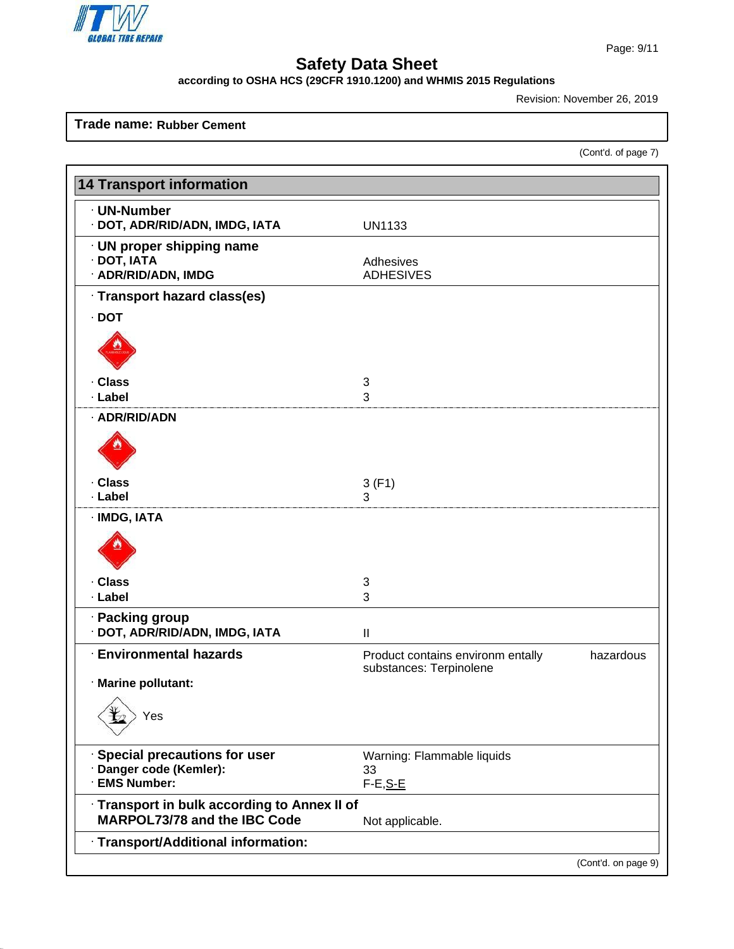

**according to OSHA HCS (29CFR 1910.1200) and WHMIS 2015 Regulations**

Revision: November 26, 2019

## **Trade name: Rubber Cement**

(Cont'd. of page 7)

| <b>14 Transport information</b>                                                     |                                                              |                     |  |  |  |
|-------------------------------------------------------------------------------------|--------------------------------------------------------------|---------------------|--|--|--|
| · UN-Number<br>· DOT, ADR/RID/ADN, IMDG, IATA                                       | <b>UN1133</b>                                                |                     |  |  |  |
| · UN proper shipping name<br>· DOT, IATA<br>· ADR/RID/ADN, IMDG                     | Adhesives<br><b>ADHESIVES</b>                                |                     |  |  |  |
| · Transport hazard class(es)                                                        |                                                              |                     |  |  |  |
| $\cdot$ DOT                                                                         |                                                              |                     |  |  |  |
|                                                                                     |                                                              |                     |  |  |  |
| · Class                                                                             | 3                                                            |                     |  |  |  |
| · Label                                                                             | 3                                                            |                     |  |  |  |
| · ADR/RID/ADN                                                                       |                                                              |                     |  |  |  |
| · Class<br>· Label                                                                  | 3(F1)<br>3                                                   |                     |  |  |  |
| · IMDG, IATA                                                                        |                                                              |                     |  |  |  |
|                                                                                     |                                                              |                     |  |  |  |
| · Class                                                                             | 3                                                            |                     |  |  |  |
| · Label                                                                             | 3                                                            |                     |  |  |  |
| · Packing group<br>· DOT, ADR/RID/ADN, IMDG, IATA                                   | $\mathbf{I}$                                                 |                     |  |  |  |
| <b>Environmental hazards</b>                                                        | Product contains environm entally<br>substances: Terpinolene | hazardous           |  |  |  |
| · Marine pollutant:                                                                 |                                                              |                     |  |  |  |
| $\wedge$<br>Yes                                                                     |                                                              |                     |  |  |  |
| · Special precautions for user                                                      | Warning: Flammable liquids                                   |                     |  |  |  |
| Danger code (Kemler):<br><b>EMS Number:</b>                                         | 33                                                           |                     |  |  |  |
|                                                                                     | F-E, S-E                                                     |                     |  |  |  |
| · Transport in bulk according to Annex II of<br><b>MARPOL73/78 and the IBC Code</b> | Not applicable.                                              |                     |  |  |  |
| · Transport/Additional information:                                                 |                                                              |                     |  |  |  |
|                                                                                     |                                                              | (Cont'd. on page 9) |  |  |  |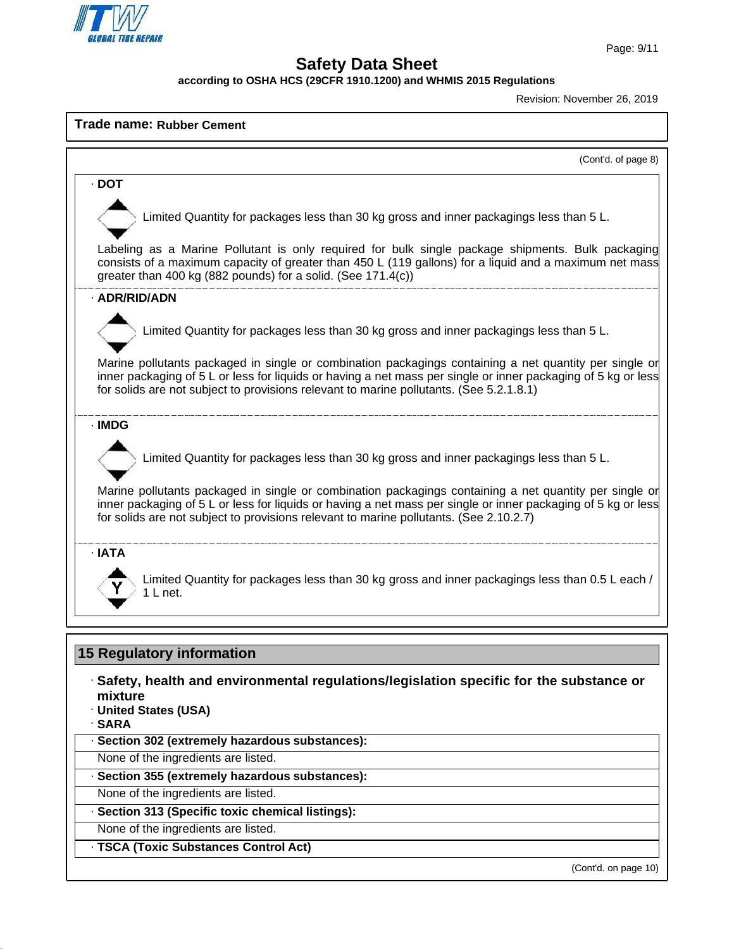

**according to OSHA HCS (29CFR 1910.1200) and WHMIS 2015 Regulations**

Revision: November 26, 2019

# **Trade name: Rubber Cement** (Cont'd. of page 8) · **DOT** Limited Quantity for packages less than 30 kg gross and inner packagings less than 5 L. Labeling as a Marine Pollutant is only required for bulk single package shipments. Bulk packaging consists of a maximum capacity of greater than 450 L (119 gallons) for a liquid and a maximum net mass greater than 400 kg (882 pounds) for a solid. (See 171.4(c)) · **ADR/RID/ADN** Limited Quantity for packages less than 30 kg gross and inner packagings less than 5 L. Marine pollutants packaged in single or combination packagings containing a net quantity per single or inner packaging of 5 L or less for liquids or having a net mass per single or inner packaging of 5 kg or less for solids are not subject to provisions relevant to marine pollutants. (See 5.2.1.8.1) · **IMDG** Limited Quantity for packages less than 30 kg gross and inner packagings less than 5 L. Marine pollutants packaged in single or combination packagings containing a net quantity per single or inner packaging of 5 L or less for liquids or having a net mass per single or inner packaging of 5 kg or less for solids are not subject to provisions relevant to marine pollutants. (See 2.10.2.7) · **IATA** Limited Quantity for packages less than 30 kg gross and inner packagings less than 0.5 L each / 1 L net.

# **15 Regulatory information**

# · **Safety, health and environmental regulations/legislation specific for the substance or mixture**

· **United States (USA)**

· **SARA**

## · **Section 302 (extremely hazardous substances):**

None of the ingredients are listed.

## · **Section 355 (extremely hazardous substances):**

None of the ingredients are listed.

## · **Section 313 (Specific toxic chemical listings):**

- None of the ingredients are listed.
- · **TSCA (Toxic Substances Control Act)**

(Cont'd. on page 10)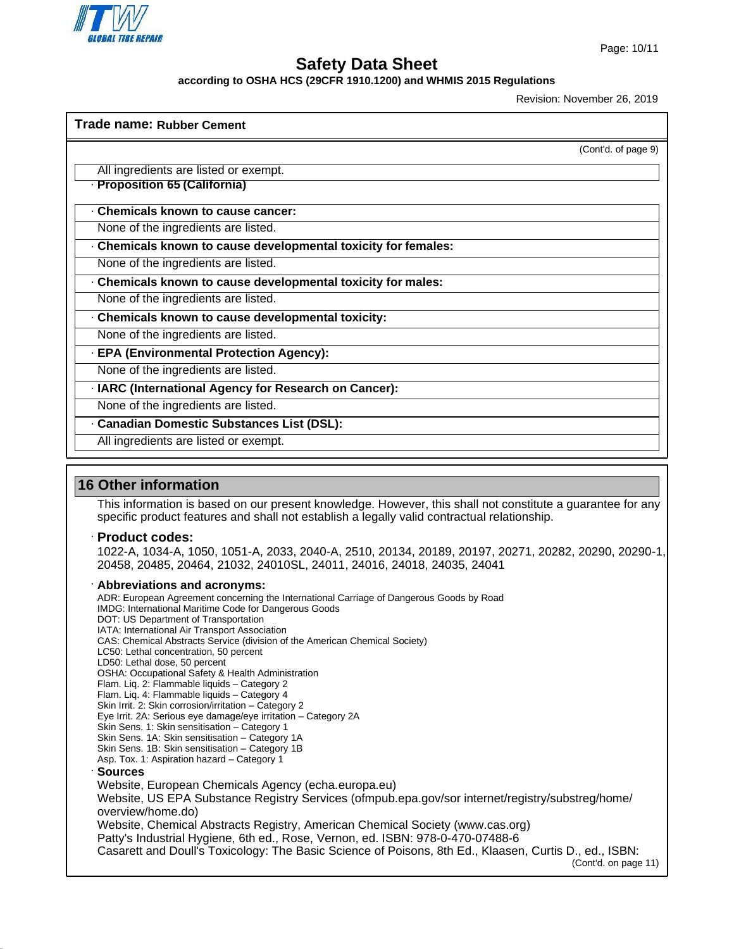

**according to OSHA HCS (29CFR 1910.1200) and WHMIS 2015 Regulations**

Revision: November 26, 2019

| Trade name: Rubber Cement                                    |                     |
|--------------------------------------------------------------|---------------------|
|                                                              | (Cont'd. of page 9) |
| All ingredients are listed or exempt.                        |                     |
| · Proposition 65 (California)                                |                     |
| <b>Chemicals known to cause cancer:</b>                      |                     |
| None of the ingredients are listed.                          |                     |
| Chemicals known to cause developmental toxicity for females: |                     |
| None of the ingredients are listed.                          |                     |
| Chemicals known to cause developmental toxicity for males:   |                     |
| None of the ingredients are listed.                          |                     |
| Chemicals known to cause developmental toxicity:             |                     |
| None of the ingredients are listed.                          |                     |
| · EPA (Environmental Protection Agency):                     |                     |
| None of the ingredients are listed.                          |                     |
| · IARC (International Agency for Research on Cancer):        |                     |
| None of the ingredients are listed.                          |                     |
| · Canadian Domestic Substances List (DSL):                   |                     |
| All ingredients are listed or exempt.                        |                     |
|                                                              |                     |

# **16 Other information**

This information is based on our present knowledge. However, this shall not constitute a guarantee for any specific product features and shall not establish a legally valid contractual relationship.

#### · **Product codes:**

1022-A, 1034-A, 1050, 1051-A, 2033, 2040-A, 2510, 20134, 20189, 20197, 20271, 20282, 20290, 20290-1, 20458, 20485, 20464, 21032, 24010SL, 24011, 24016, 24018, 24035, 24041

· **Abbreviations and acronyms:** ADR: European Agreement concerning the International Carriage of Dangerous Goods by Road IMDG: International Maritime Code for Dangerous Goods DOT: US Department of Transportation IATA: International Air Transport Association CAS: Chemical Abstracts Service (division of the American Chemical Society) LC50: Lethal concentration, 50 percent LD50: Lethal dose, 50 percent OSHA: Occupational Safety & Health Administration Flam. Liq. 2: Flammable liquids – Category 2 Flam. Liq. 4: Flammable liquids – Category 4 Skin Irrit. 2: Skin corrosion/irritation – Category 2 Eye Irrit. 2A: Serious eye damage/eye irritation – Category 2A Skin Sens. 1: Skin sensitisation – Category 1 Skin Sens. 1A: Skin sensitisation – Category 1A Skin Sens. 1B: Skin sensitisation – Category 1B Asp. Tox. 1: Aspiration hazard – Category 1 · **Sources** Website, European Chemicals Agency (echa.europa.eu) Website, US EPA Substance Registry Services (ofmpub.epa.gov/sor internet/registry/substreg/home/ overview/home.do) Website, Chemical Abstracts Registry, American Chemical Society (www.cas.org) Patty's Industrial Hygiene, 6th ed., Rose, Vernon, ed. ISBN: 978-0-470-07488-6 Casarett and Doull's Toxicology: The Basic Science of Poisons, 8th Ed., Klaasen, Curtis D., ed., ISBN: (Cont'd. on page 11)